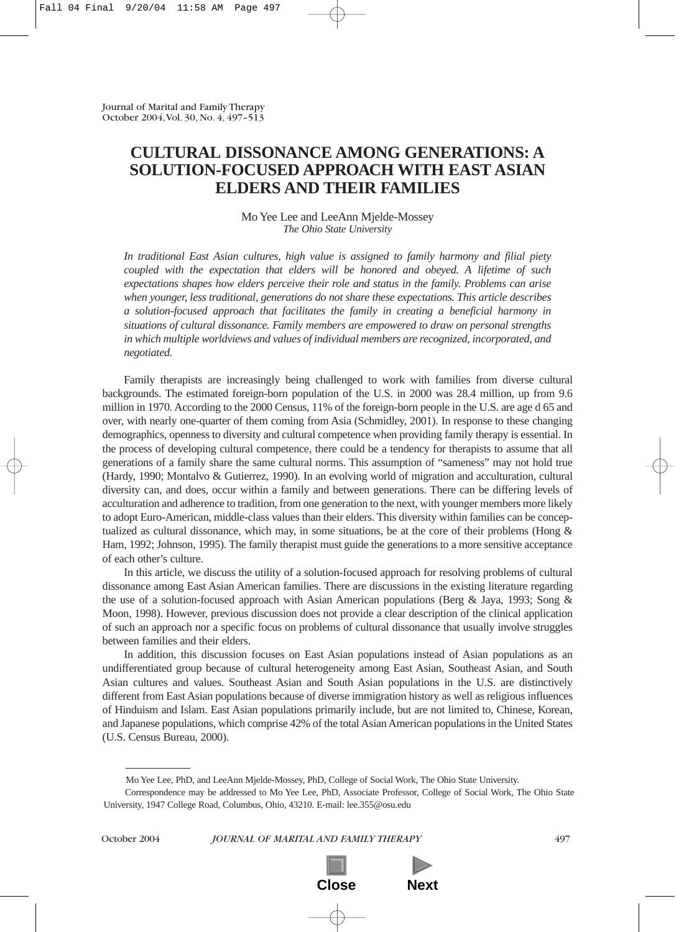# **CULTURAL DISSONANCE AMONG GENERATIONS: A SOLUTION-FOCUSED APPROACH WITH EAST ASIAN ELDERS AND THEIR FAMILIES**

Mo Yee Lee and LeeAnn Mjelde-Mossey *The Ohio State University*

*In traditional East Asian cultures, high value is assigned to family harmony and filial piety coupled with the expectation that elders will be honored and obeyed. A lifetime of such expectations shapes how elders perceive their role and status in the family. Problems can arise when younger, less traditional, generations do not share these expectations. This article describes a solution-focused approach that facilitates the family in creating a beneficial harmony in situations of cultural dissonance. Family members are empowered to draw on personal strengths in which multiple worldviews and values of individual members are recognized, incorporated, and negotiated.*

Family therapists are increasingly being challenged to work with families from diverse cultural backgrounds. The estimated foreign-born population of the U.S. in 2000 was 28.4 million, up from 9.6 million in 1970. According to the 2000 Census, 11% of the foreign-born people in the U.S. are age d 65 and over, with nearly one-quarter of them coming from Asia (Schmidley, 2001). In response to these changing demographics, openness to diversity and cultural competence when providing family therapy is essential. In the process of developing cultural competence, there could be a tendency for therapists to assume that all generations of a family share the same cultural norms. This assumption of "sameness" may not hold true (Hardy, 1990; Montalvo & Gutierrez, 1990). In an evolving world of migration and acculturation, cultural diversity can, and does, occur within a family and between generations. There can be differing levels of acculturation and adherence to tradition, from one generation to the next, with younger members more likely to adopt Euro-American, middle-class values than their elders. This diversity within families can be conceptualized as cultural dissonance, which may, in some situations, be at the core of their problems (Hong  $\&$ Ham, 1992; Johnson, 1995). The family therapist must guide the generations to a more sensitive acceptance of each other's culture.

In this article, we discuss the utility of a solution-focused approach for resolving problems of cultural dissonance among East Asian American families. There are discussions in the existing literature regarding the use of a solution-focused approach with Asian American populations (Berg & Jaya, 1993; Song & Moon, 1998). However, previous discussion does not provide a clear description of the clinical application of such an approach nor a specific focus on problems of cultural dissonance that usually involve struggles between families and their elders.

In addition, this discussion focuses on East Asian populations instead of Asian populations as an undifferentiated group because of cultural heterogeneity among East Asian, Southeast Asian, and South Asian cultures and values. Southeast Asian and South Asian populations in the U.S. are distinctively different from East Asian populations because of diverse immigration history as well as religious influences of Hinduism and Islam. East Asian populations primarily include, but are not limited to, Chinese, Korean, and Japanese populations, which comprise 42% of the total Asian American populations in the United States (U.S. Census Bureau, 2000).





Mo Yee Lee, PhD, and LeeAnn Mjelde-Mossey, PhD, College of Social Work, The Ohio State University.

Correspondence may be addressed to Mo Yee Lee, PhD, Associate Professor, College of Social Work, The Ohio State University, 1947 College Road, Columbus, Ohio, 43210. E-mail: lee.355@osu.edu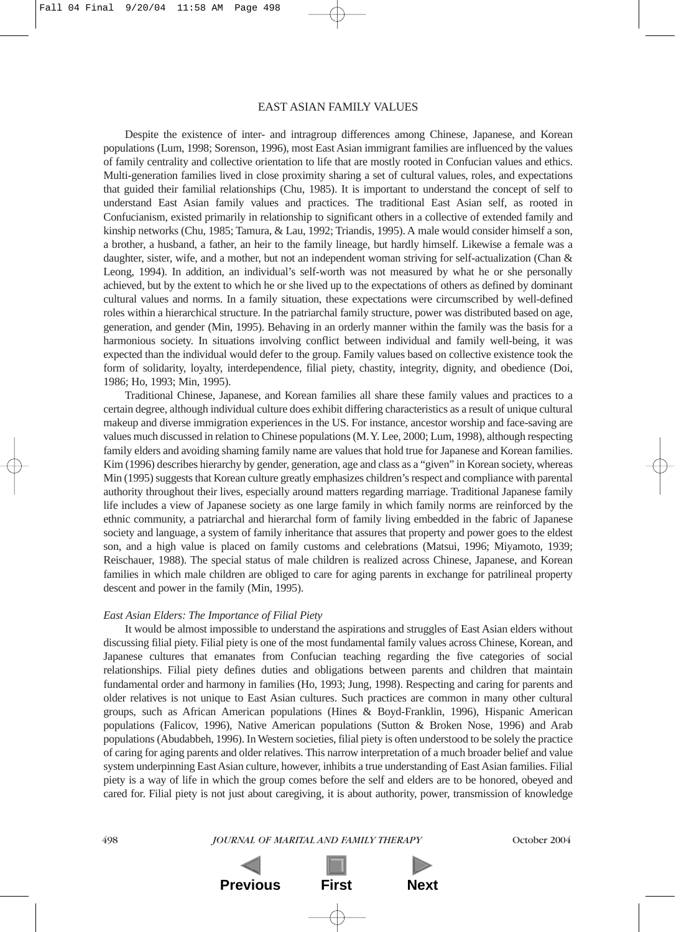# EAST ASIAN FAMILY VALUES

Despite the existence of inter- and intragroup differences among Chinese, Japanese, and Korean populations (Lum, 1998; Sorenson, 1996), most East Asian immigrant families are influenced by the values of family centrality and collective orientation to life that are mostly rooted in Confucian values and ethics. Multi-generation families lived in close proximity sharing a set of cultural values, roles, and expectations that guided their familial relationships (Chu, 1985). It is important to understand the concept of self to understand East Asian family values and practices. The traditional East Asian self, as rooted in Confucianism, existed primarily in relationship to significant others in a collective of extended family and kinship networks (Chu, 1985; Tamura, & Lau, 1992; Triandis, 1995). A male would consider himself a son, a brother, a husband, a father, an heir to the family lineage, but hardly himself. Likewise a female was a daughter, sister, wife, and a mother, but not an independent woman striving for self-actualization (Chan & Leong, 1994). In addition, an individual's self-worth was not measured by what he or she personally achieved, but by the extent to which he or she lived up to the expectations of others as defined by dominant cultural values and norms. In a family situation, these expectations were circumscribed by well-defined roles within a hierarchical structure. In the patriarchal family structure, power was distributed based on age, generation, and gender (Min, 1995). Behaving in an orderly manner within the family was the basis for a harmonious society. In situations involving conflict between individual and family well-being, it was expected than the individual would defer to the group. Family values based on collective existence took the form of solidarity, loyalty, interdependence, filial piety, chastity, integrity, dignity, and obedience (Doi, 1986; Ho, 1993; Min, 1995).

Traditional Chinese, Japanese, and Korean families all share these family values and practices to a certain degree, although individual culture does exhibit differing characteristics as a result of unique cultural makeup and diverse immigration experiences in the US. For instance, ancestor worship and face-saving are values much discussed in relation to Chinese populations (M. Y. Lee, 2000; Lum, 1998), although respecting family elders and avoiding shaming family name are values that hold true for Japanese and Korean families. Kim (1996) describes hierarchy by gender, generation, age and class as a "given" in Korean society, whereas Min (1995) suggests that Korean culture greatly emphasizes children's respect and compliance with parental authority throughout their lives, especially around matters regarding marriage. Traditional Japanese family life includes a view of Japanese society as one large family in which family norms are reinforced by the ethnic community, a patriarchal and hierarchal form of family living embedded in the fabric of Japanese society and language, a system of family inheritance that assures that property and power goes to the eldest son, and a high value is placed on family customs and celebrations (Matsui, 1996; Miyamoto, 1939; Reischauer, 1988). The special status of male children is realized across Chinese, Japanese, and Korean families in which male children are obliged to care for aging parents in exchange for patrilineal property descent and power in the family (Min, 1995).

### *East Asian Elders: The Importance of Filial Piety*

It would be almost impossible to understand the aspirations and struggles of East Asian elders without discussing filial piety. Filial piety is one of the most fundamental family values across Chinese, Korean, and Japanese cultures that emanates from Confucian teaching regarding the five categories of social relationships. Filial piety defines duties and obligations between parents and children that maintain fundamental order and harmony in families (Ho, 1993; Jung, 1998). Respecting and caring for parents and older relatives is not unique to East Asian cultures. Such practices are common in many other cultural groups, such as African American populations (Hines & Boyd-Franklin, 1996), Hispanic American populations (Falicov, 1996), Native American populations (Sutton & Broken Nose, 1996) and Arab populations (Abudabbeh, 1996). In Western societies, filial piety is often understood to be solely the practice of caring for aging parents and older relatives. This narrow interpretation of a much broader belief and value system underpinning East Asian culture, however, inhibits a true understanding of East Asian families. Filial piety is a way of life in which the group comes before the self and elders are to be honored, obeyed and cared for. Filial piety is not just about caregiving, it is about authority, power, transmission of knowledge

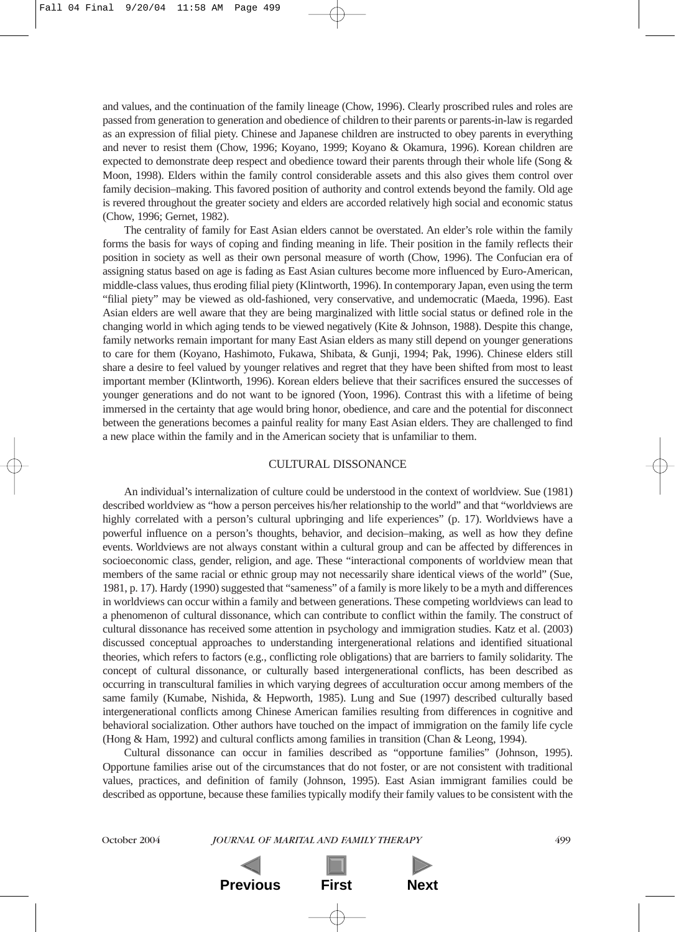and values, and the continuation of the family lineage (Chow, 1996). Clearly proscribed rules and roles are passed from generation to generation and obedience of children to their parents or parents-in-law is regarded as an expression of filial piety. Chinese and Japanese children are instructed to obey parents in everything and never to resist them (Chow, 1996; Koyano, 1999; Koyano & Okamura, 1996). Korean children are expected to demonstrate deep respect and obedience toward their parents through their whole life (Song & Moon, 1998). Elders within the family control considerable assets and this also gives them control over family decision–making. This favored position of authority and control extends beyond the family. Old age is revered throughout the greater society and elders are accorded relatively high social and economic status (Chow, 1996; Gernet, 1982).

The centrality of family for East Asian elders cannot be overstated. An elder's role within the family forms the basis for ways of coping and finding meaning in life. Their position in the family reflects their position in society as well as their own personal measure of worth (Chow, 1996). The Confucian era of assigning status based on age is fading as East Asian cultures become more influenced by Euro-American, middle-class values, thus eroding filial piety (Klintworth, 1996). In contemporary Japan, even using the term "filial piety" may be viewed as old-fashioned, very conservative, and undemocratic (Maeda, 1996). East Asian elders are well aware that they are being marginalized with little social status or defined role in the changing world in which aging tends to be viewed negatively (Kite & Johnson, 1988). Despite this change, family networks remain important for many East Asian elders as many still depend on younger generations to care for them (Koyano, Hashimoto, Fukawa, Shibata, & Gunji, 1994; Pak, 1996). Chinese elders still share a desire to feel valued by younger relatives and regret that they have been shifted from most to least important member (Klintworth, 1996). Korean elders believe that their sacrifices ensured the successes of younger generations and do not want to be ignored (Yoon, 1996). Contrast this with a lifetime of being immersed in the certainty that age would bring honor, obedience, and care and the potential for disconnect between the generations becomes a painful reality for many East Asian elders. They are challenged to find a new place within the family and in the American society that is unfamiliar to them.

## CULTURAL DISSONANCE

An individual's internalization of culture could be understood in the context of worldview. Sue (1981) described worldview as "how a person perceives his/her relationship to the world" and that "worldviews are highly correlated with a person's cultural upbringing and life experiences" (p. 17). Worldviews have a powerful influence on a person's thoughts, behavior, and decision–making, as well as how they define events. Worldviews are not always constant within a cultural group and can be affected by differences in socioeconomic class, gender, religion, and age. These "interactional components of worldview mean that members of the same racial or ethnic group may not necessarily share identical views of the world" (Sue, 1981, p. 17). Hardy (1990) suggested that "sameness" of a family is more likely to be a myth and differences in worldviews can occur within a family and between generations. These competing worldviews can lead to a phenomenon of cultural dissonance, which can contribute to conflict within the family. The construct of cultural dissonance has received some attention in psychology and immigration studies. Katz et al. (2003) discussed conceptual approaches to understanding intergenerational relations and identified situational theories, which refers to factors (e.g., conflicting role obligations) that are barriers to family solidarity. The concept of cultural dissonance, or culturally based intergenerational conflicts, has been described as occurring in transcultural families in which varying degrees of acculturation occur among members of the same family (Kumabe, Nishida, & Hepworth, 1985). Lung and Sue (1997) described culturally based intergenerational conflicts among Chinese American families resulting from differences in cognitive and behavioral socialization. Other authors have touched on the impact of immigration on the family life cycle (Hong & Ham, 1992) and cultural conflicts among families in transition (Chan & Leong, 1994).

Cultural dissonance can occur in families described as "opportune families" (Johnson, 1995). Opportune families arise out of the circumstances that do not foster, or are not consistent with traditional values, practices, and definition of family (Johnson, 1995). East Asian immigrant families could be described as opportune, because these families typically modify their family values to be consistent with the





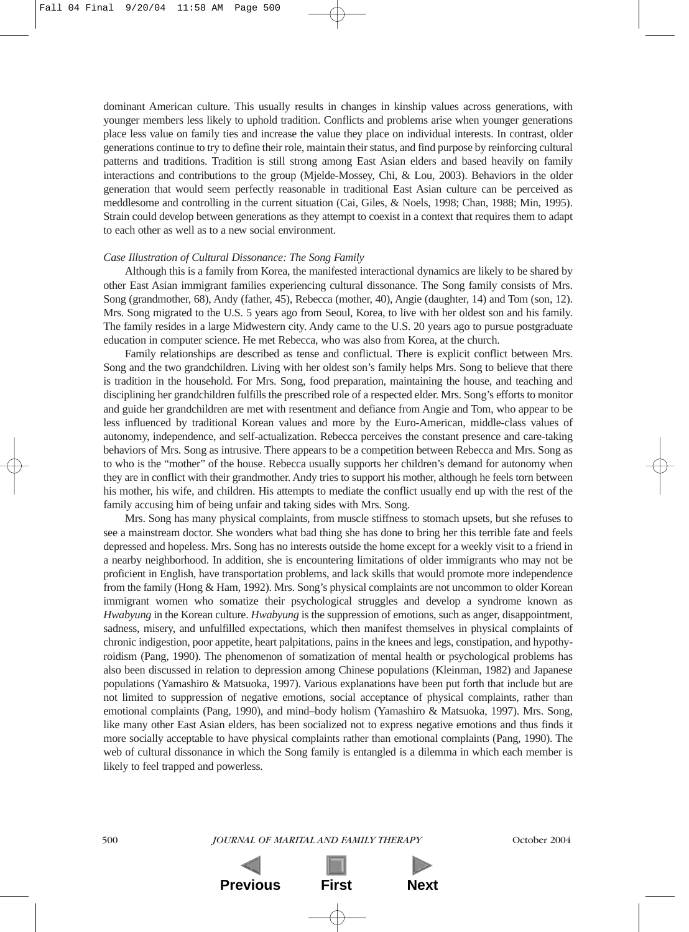dominant American culture. This usually results in changes in kinship values across generations, with younger members less likely to uphold tradition. Conflicts and problems arise when younger generations place less value on family ties and increase the value they place on individual interests. In contrast, older generations continue to try to define their role, maintain their status, and find purpose by reinforcing cultural patterns and traditions. Tradition is still strong among East Asian elders and based heavily on family interactions and contributions to the group (Mjelde-Mossey, Chi, & Lou, 2003). Behaviors in the older generation that would seem perfectly reasonable in traditional East Asian culture can be perceived as meddlesome and controlling in the current situation (Cai, Giles, & Noels, 1998; Chan, 1988; Min, 1995). Strain could develop between generations as they attempt to coexist in a context that requires them to adapt to each other as well as to a new social environment.

### *Case Illustration of Cultural Dissonance: The Song Family*

Although this is a family from Korea, the manifested interactional dynamics are likely to be shared by other East Asian immigrant families experiencing cultural dissonance. The Song family consists of Mrs. Song (grandmother, 68), Andy (father, 45), Rebecca (mother, 40), Angie (daughter, 14) and Tom (son, 12). Mrs. Song migrated to the U.S. 5 years ago from Seoul, Korea, to live with her oldest son and his family. The family resides in a large Midwestern city. Andy came to the U.S. 20 years ago to pursue postgraduate education in computer science. He met Rebecca, who was also from Korea, at the church.

Family relationships are described as tense and conflictual. There is explicit conflict between Mrs. Song and the two grandchildren. Living with her oldest son's family helps Mrs. Song to believe that there is tradition in the household. For Mrs. Song, food preparation, maintaining the house, and teaching and disciplining her grandchildren fulfills the prescribed role of a respected elder. Mrs. Song's efforts to monitor and guide her grandchildren are met with resentment and defiance from Angie and Tom, who appear to be less influenced by traditional Korean values and more by the Euro-American, middle-class values of autonomy, independence, and self-actualization. Rebecca perceives the constant presence and care-taking behaviors of Mrs. Song as intrusive. There appears to be a competition between Rebecca and Mrs. Song as to who is the "mother" of the house. Rebecca usually supports her children's demand for autonomy when they are in conflict with their grandmother. Andy tries to support his mother, although he feels torn between his mother, his wife, and children. His attempts to mediate the conflict usually end up with the rest of the family accusing him of being unfair and taking sides with Mrs. Song.

Mrs. Song has many physical complaints, from muscle stiffness to stomach upsets, but she refuses to see a mainstream doctor. She wonders what bad thing she has done to bring her this terrible fate and feels depressed and hopeless. Mrs. Song has no interests outside the home except for a weekly visit to a friend in a nearby neighborhood. In addition, she is encountering limitations of older immigrants who may not be proficient in English, have transportation problems, and lack skills that would promote more independence from the family (Hong & Ham, 1992). Mrs. Song's physical complaints are not uncommon to older Korean immigrant women who somatize their psychological struggles and develop a syndrome known as *Hwabyung* in the Korean culture. *Hwabyung* is the suppression of emotions, such as anger, disappointment, sadness, misery, and unfulfilled expectations, which then manifest themselves in physical complaints of chronic indigestion, poor appetite, heart palpitations, pains in the knees and legs, constipation, and hypothyroidism (Pang, 1990). The phenomenon of somatization of mental health or psychological problems has also been discussed in relation to depression among Chinese populations (Kleinman, 1982) and Japanese populations (Yamashiro & Matsuoka, 1997). Various explanations have been put forth that include but are not limited to suppression of negative emotions, social acceptance of physical complaints, rather than emotional complaints (Pang, 1990), and mind–body holism (Yamashiro & Matsuoka, 1997). Mrs. Song, like many other East Asian elders, has been socialized not to express negative emotions and thus finds it more socially acceptable to have physical complaints rather than emotional complaints (Pang, 1990). The web of cultural dissonance in which the Song family is entangled is a dilemma in which each member is likely to feel trapped and powerless.



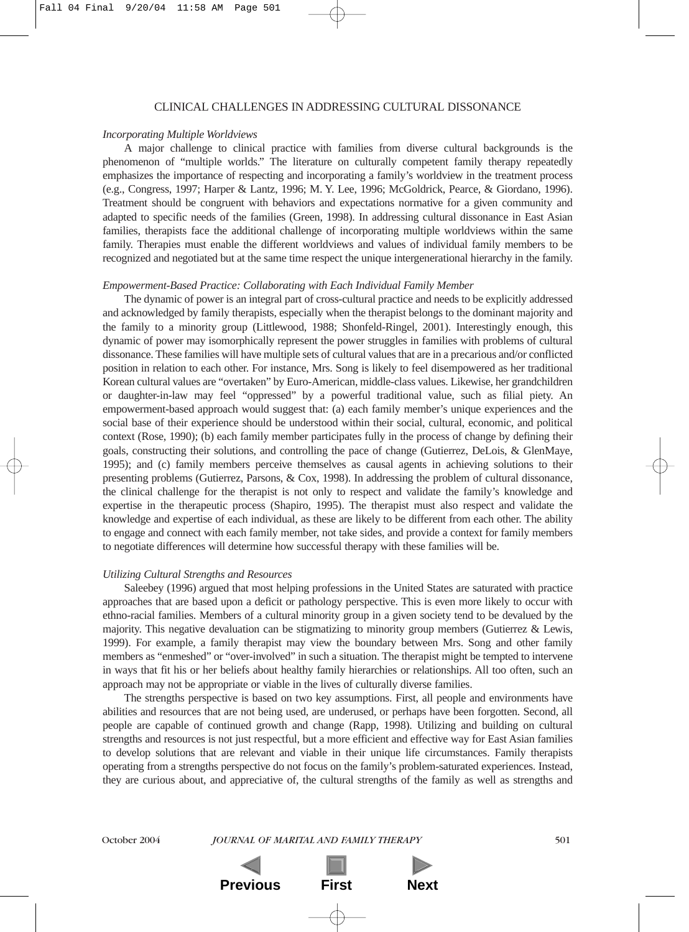### CLINICAL CHALLENGES IN ADDRESSING CULTURAL DISSONANCE

#### *Incorporating Multiple Worldviews*

A major challenge to clinical practice with families from diverse cultural backgrounds is the phenomenon of "multiple worlds." The literature on culturally competent family therapy repeatedly emphasizes the importance of respecting and incorporating a family's worldview in the treatment process (e.g., Congress, 1997; Harper & Lantz, 1996; M. Y. Lee, 1996; McGoldrick, Pearce, & Giordano, 1996). Treatment should be congruent with behaviors and expectations normative for a given community and adapted to specific needs of the families (Green, 1998). In addressing cultural dissonance in East Asian families, therapists face the additional challenge of incorporating multiple worldviews within the same family. Therapies must enable the different worldviews and values of individual family members to be recognized and negotiated but at the same time respect the unique intergenerational hierarchy in the family.

### *Empowerment-Based Practice: Collaborating with Each Individual Family Member*

The dynamic of power is an integral part of cross-cultural practice and needs to be explicitly addressed and acknowledged by family therapists, especially when the therapist belongs to the dominant majority and the family to a minority group (Littlewood, 1988; Shonfeld-Ringel, 2001). Interestingly enough, this dynamic of power may isomorphically represent the power struggles in families with problems of cultural dissonance. These families will have multiple sets of cultural values that are in a precarious and/or conflicted position in relation to each other. For instance, Mrs. Song is likely to feel disempowered as her traditional Korean cultural values are "overtaken" by Euro-American, middle-class values. Likewise, her grandchildren or daughter-in-law may feel "oppressed" by a powerful traditional value, such as filial piety. An empowerment-based approach would suggest that: (a) each family member's unique experiences and the social base of their experience should be understood within their social, cultural, economic, and political context (Rose, 1990); (b) each family member participates fully in the process of change by defining their goals, constructing their solutions, and controlling the pace of change (Gutierrez, DeLois, & GlenMaye, 1995); and (c) family members perceive themselves as causal agents in achieving solutions to their presenting problems (Gutierrez, Parsons, & Cox, 1998). In addressing the problem of cultural dissonance, the clinical challenge for the therapist is not only to respect and validate the family's knowledge and expertise in the therapeutic process (Shapiro, 1995). The therapist must also respect and validate the knowledge and expertise of each individual, as these are likely to be different from each other. The ability to engage and connect with each family member, not take sides, and provide a context for family members to negotiate differences will determine how successful therapy with these families will be.

#### *Utilizing Cultural Strengths and Resources*

Saleebey (1996) argued that most helping professions in the United States are saturated with practice approaches that are based upon a deficit or pathology perspective. This is even more likely to occur with ethno-racial families. Members of a cultural minority group in a given society tend to be devalued by the majority. This negative devaluation can be stigmatizing to minority group members (Gutierrez & Lewis, 1999). For example, a family therapist may view the boundary between Mrs. Song and other family members as "enmeshed" or "over-involved" in such a situation. The therapist might be tempted to intervene in ways that fit his or her beliefs about healthy family hierarchies or relationships. All too often, such an approach may not be appropriate or viable in the lives of culturally diverse families.

The strengths perspective is based on two key assumptions. First, all people and environments have abilities and resources that are not being used, are underused, or perhaps have been forgotten. Second, all people are capable of continued growth and change (Rapp, 1998). Utilizing and building on cultural strengths and resources is not just respectful, but a more efficient and effective way for East Asian families to develop solutions that are relevant and viable in their unique life circumstances. Family therapists operating from a strengths perspective do not focus on the family's problem-saturated experiences. Instead, they are curious about, and appreciative of, the cultural strengths of the family as well as strengths and



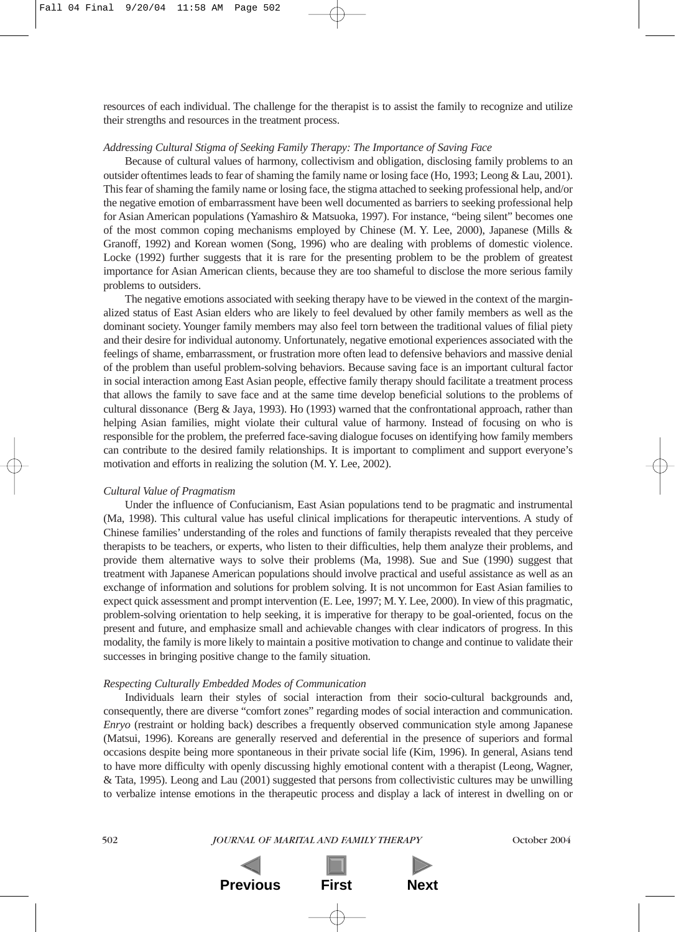resources of each individual. The challenge for the therapist is to assist the family to recognize and utilize their strengths and resources in the treatment process.

### *Addressing Cultural Stigma of Seeking Family Therapy: The Importance of Saving Face*

Because of cultural values of harmony, collectivism and obligation, disclosing family problems to an outsider oftentimes leads to fear of shaming the family name or losing face (Ho, 1993; Leong & Lau, 2001). This fear of shaming the family name or losing face, the stigma attached to seeking professional help, and/or the negative emotion of embarrassment have been well documented as barriers to seeking professional help for Asian American populations (Yamashiro & Matsuoka, 1997). For instance, "being silent" becomes one of the most common coping mechanisms employed by Chinese (M. Y. Lee, 2000), Japanese (Mills & Granoff, 1992) and Korean women (Song, 1996) who are dealing with problems of domestic violence. Locke (1992) further suggests that it is rare for the presenting problem to be the problem of greatest importance for Asian American clients, because they are too shameful to disclose the more serious family problems to outsiders.

The negative emotions associated with seeking therapy have to be viewed in the context of the marginalized status of East Asian elders who are likely to feel devalued by other family members as well as the dominant society. Younger family members may also feel torn between the traditional values of filial piety and their desire for individual autonomy. Unfortunately, negative emotional experiences associated with the feelings of shame, embarrassment, or frustration more often lead to defensive behaviors and massive denial of the problem than useful problem-solving behaviors. Because saving face is an important cultural factor in social interaction among East Asian people, effective family therapy should facilitate a treatment process that allows the family to save face and at the same time develop beneficial solutions to the problems of cultural dissonance (Berg & Jaya, 1993). Ho (1993) warned that the confrontational approach, rather than helping Asian families, might violate their cultural value of harmony. Instead of focusing on who is responsible for the problem, the preferred face-saving dialogue focuses on identifying how family members can contribute to the desired family relationships. It is important to compliment and support everyone's motivation and efforts in realizing the solution (M. Y. Lee, 2002).

#### *Cultural Value of Pragmatism*

Under the influence of Confucianism, East Asian populations tend to be pragmatic and instrumental (Ma, 1998). This cultural value has useful clinical implications for therapeutic interventions. A study of Chinese families' understanding of the roles and functions of family therapists revealed that they perceive therapists to be teachers, or experts, who listen to their difficulties, help them analyze their problems, and provide them alternative ways to solve their problems (Ma, 1998). Sue and Sue (1990) suggest that treatment with Japanese American populations should involve practical and useful assistance as well as an exchange of information and solutions for problem solving. It is not uncommon for East Asian families to expect quick assessment and prompt intervention (E. Lee, 1997; M. Y. Lee, 2000). In view of this pragmatic, problem-solving orientation to help seeking, it is imperative for therapy to be goal-oriented, focus on the present and future, and emphasize small and achievable changes with clear indicators of progress. In this modality, the family is more likely to maintain a positive motivation to change and continue to validate their successes in bringing positive change to the family situation.

### *Respecting Culturally Embedded Modes of Communication*

Individuals learn their styles of social interaction from their socio-cultural backgrounds and, consequently, there are diverse "comfort zones" regarding modes of social interaction and communication. *Enryo* (restraint or holding back) describes a frequently observed communication style among Japanese (Matsui, 1996). Koreans are generally reserved and deferential in the presence of superiors and formal occasions despite being more spontaneous in their private social life (Kim, 1996). In general, Asians tend to have more difficulty with openly discussing highly emotional content with a therapist (Leong, Wagner, & Tata, 1995). Leong and Lau (2001) suggested that persons from collectivistic cultures may be unwilling to verbalize intense emotions in the therapeutic process and display a lack of interest in dwelling on or

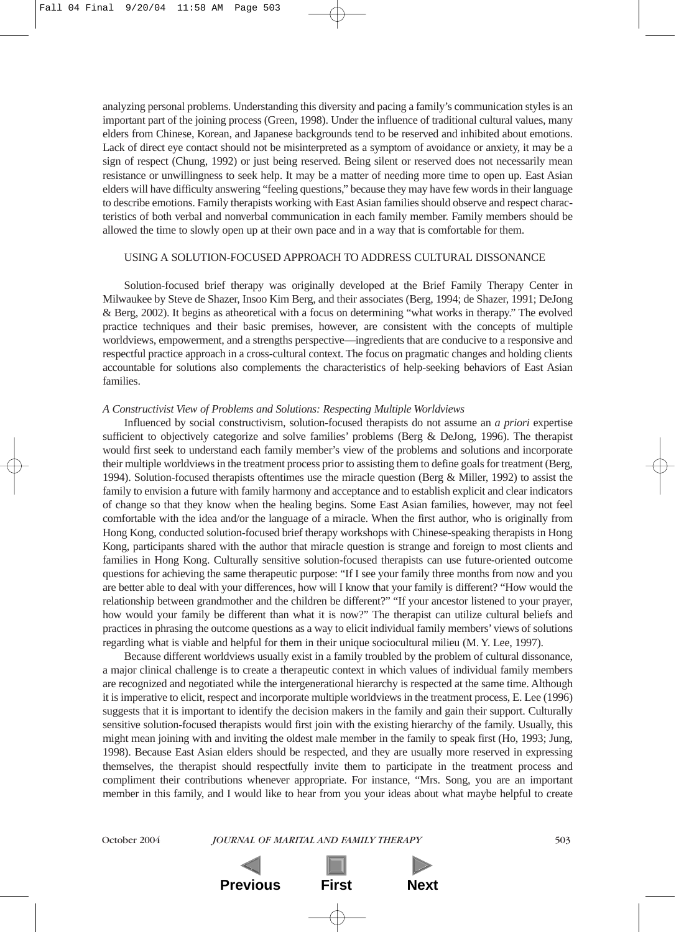analyzing personal problems. Understanding this diversity and pacing a family's communication styles is an important part of the joining process (Green, 1998). Under the influence of traditional cultural values, many elders from Chinese, Korean, and Japanese backgrounds tend to be reserved and inhibited about emotions. Lack of direct eye contact should not be misinterpreted as a symptom of avoidance or anxiety, it may be a sign of respect (Chung, 1992) or just being reserved. Being silent or reserved does not necessarily mean resistance or unwillingness to seek help. It may be a matter of needing more time to open up. East Asian elders will have difficulty answering "feeling questions," because they may have few words in their language to describe emotions. Family therapists working with East Asian families should observe and respect characteristics of both verbal and nonverbal communication in each family member. Family members should be allowed the time to slowly open up at their own pace and in a way that is comfortable for them.

# USING A SOLUTION-FOCUSED APPROACH TO ADDRESS CULTURAL DISSONANCE

Solution-focused brief therapy was originally developed at the Brief Family Therapy Center in Milwaukee by Steve de Shazer, Insoo Kim Berg, and their associates (Berg, 1994; de Shazer, 1991; DeJong & Berg, 2002). It begins as atheoretical with a focus on determining "what works in therapy." The evolved practice techniques and their basic premises, however, are consistent with the concepts of multiple worldviews, empowerment, and a strengths perspective—ingredients that are conducive to a responsive and respectful practice approach in a cross-cultural context. The focus on pragmatic changes and holding clients accountable for solutions also complements the characteristics of help-seeking behaviors of East Asian families.

### *A Constructivist View of Problems and Solutions: Respecting Multiple Worldviews*

Influenced by social constructivism, solution-focused therapists do not assume an *a priori* expertise sufficient to objectively categorize and solve families' problems (Berg & DeJong, 1996). The therapist would first seek to understand each family member's view of the problems and solutions and incorporate their multiple worldviews in the treatment process prior to assisting them to define goals for treatment (Berg, 1994). Solution-focused therapists oftentimes use the miracle question (Berg & Miller, 1992) to assist the family to envision a future with family harmony and acceptance and to establish explicit and clear indicators of change so that they know when the healing begins. Some East Asian families, however, may not feel comfortable with the idea and/or the language of a miracle. When the first author, who is originally from Hong Kong, conducted solution-focused brief therapy workshops with Chinese-speaking therapists in Hong Kong, participants shared with the author that miracle question is strange and foreign to most clients and families in Hong Kong. Culturally sensitive solution-focused therapists can use future-oriented outcome questions for achieving the same therapeutic purpose: "If I see your family three months from now and you are better able to deal with your differences, how will I know that your family is different? "How would the relationship between grandmother and the children be different?" "If your ancestor listened to your prayer, how would your family be different than what it is now?" The therapist can utilize cultural beliefs and practices in phrasing the outcome questions as a way to elicit individual family members' views of solutions regarding what is viable and helpful for them in their unique sociocultural milieu (M. Y. Lee, 1997).

Because different worldviews usually exist in a family troubled by the problem of cultural dissonance, a major clinical challenge is to create a therapeutic context in which values of individual family members are recognized and negotiated while the intergenerational hierarchy is respected at the same time. Although it is imperative to elicit, respect and incorporate multiple worldviews in the treatment process, E. Lee (1996) suggests that it is important to identify the decision makers in the family and gain their support. Culturally sensitive solution-focused therapists would first join with the existing hierarchy of the family. Usually, this might mean joining with and inviting the oldest male member in the family to speak first (Ho, 1993; Jung, 1998). Because East Asian elders should be respected, and they are usually more reserved in expressing themselves, the therapist should respectfully invite them to participate in the treatment process and compliment their contributions whenever appropriate. For instance, "Mrs. Song, you are an important member in this family, and I would like to hear from you your ideas about what maybe helpful to create



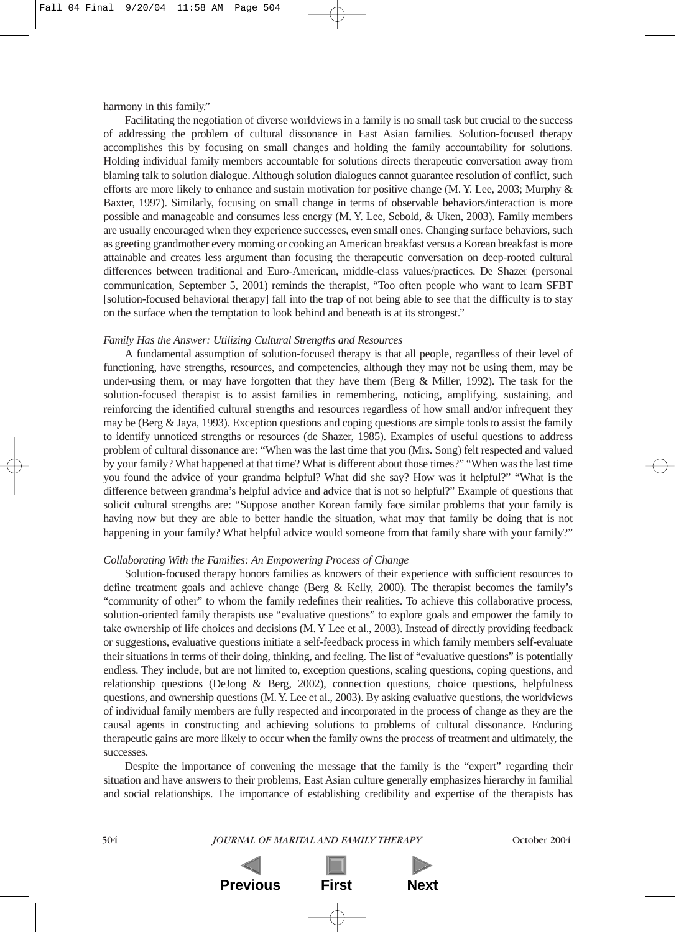harmony in this family."

Facilitating the negotiation of diverse worldviews in a family is no small task but crucial to the success of addressing the problem of cultural dissonance in East Asian families. Solution-focused therapy accomplishes this by focusing on small changes and holding the family accountability for solutions. Holding individual family members accountable for solutions directs therapeutic conversation away from blaming talk to solution dialogue. Although solution dialogues cannot guarantee resolution of conflict, such efforts are more likely to enhance and sustain motivation for positive change (M. Y. Lee, 2003; Murphy & Baxter, 1997). Similarly, focusing on small change in terms of observable behaviors/interaction is more possible and manageable and consumes less energy (M. Y. Lee, Sebold, & Uken, 2003). Family members are usually encouraged when they experience successes, even small ones. Changing surface behaviors, such as greeting grandmother every morning or cooking an American breakfast versus a Korean breakfast is more attainable and creates less argument than focusing the therapeutic conversation on deep-rooted cultural differences between traditional and Euro-American, middle-class values/practices. De Shazer (personal communication, September 5, 2001) reminds the therapist, "Too often people who want to learn SFBT [solution-focused behavioral therapy] fall into the trap of not being able to see that the difficulty is to stay on the surface when the temptation to look behind and beneath is at its strongest."

### *Family Has the Answer: Utilizing Cultural Strengths and Resources*

A fundamental assumption of solution-focused therapy is that all people, regardless of their level of functioning, have strengths, resources, and competencies, although they may not be using them, may be under-using them, or may have forgotten that they have them (Berg & Miller, 1992). The task for the solution-focused therapist is to assist families in remembering, noticing, amplifying, sustaining, and reinforcing the identified cultural strengths and resources regardless of how small and/or infrequent they may be (Berg & Jaya, 1993). Exception questions and coping questions are simple tools to assist the family to identify unnoticed strengths or resources (de Shazer, 1985). Examples of useful questions to address problem of cultural dissonance are: "When was the last time that you (Mrs. Song) felt respected and valued by your family? What happened at that time? What is different about those times?" "When was the last time you found the advice of your grandma helpful? What did she say? How was it helpful?" "What is the difference between grandma's helpful advice and advice that is not so helpful?" Example of questions that solicit cultural strengths are: "Suppose another Korean family face similar problems that your family is having now but they are able to better handle the situation, what may that family be doing that is not happening in your family? What helpful advice would someone from that family share with your family?"

### *Collaborating With the Families: An Empowering Process of Change*

Solution-focused therapy honors families as knowers of their experience with sufficient resources to define treatment goals and achieve change (Berg & Kelly, 2000). The therapist becomes the family's "community of other" to whom the family redefines their realities. To achieve this collaborative process, solution-oriented family therapists use "evaluative questions" to explore goals and empower the family to take ownership of life choices and decisions (M. Y Lee et al., 2003). Instead of directly providing feedback or suggestions, evaluative questions initiate a self-feedback process in which family members self-evaluate their situations in terms of their doing, thinking, and feeling. The list of "evaluative questions" is potentially endless. They include, but are not limited to, exception questions, scaling questions, coping questions, and relationship questions (DeJong & Berg, 2002), connection questions, choice questions, helpfulness questions, and ownership questions (M. Y. Lee et al., 2003). By asking evaluative questions, the worldviews of individual family members are fully respected and incorporated in the process of change as they are the causal agents in constructing and achieving solutions to problems of cultural dissonance. Enduring therapeutic gains are more likely to occur when the family owns the process of treatment and ultimately, the successes.

Despite the importance of convening the message that the family is the "expert" regarding their situation and have answers to their problems, East Asian culture generally emphasizes hierarchy in familial and social relationships. The importance of establishing credibility and expertise of the therapists has

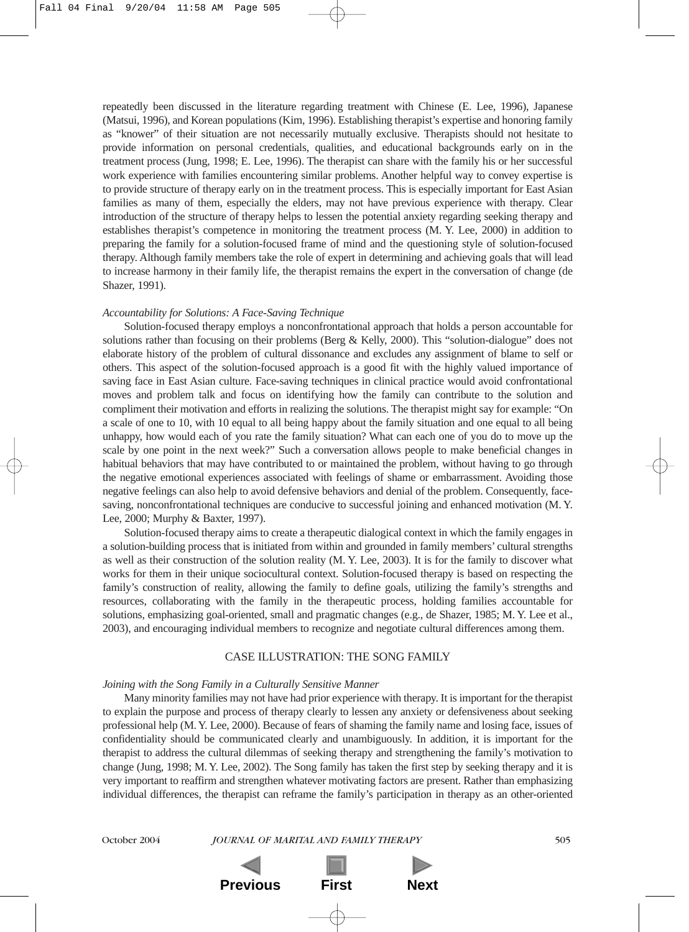repeatedly been discussed in the literature regarding treatment with Chinese (E. Lee, 1996), Japanese (Matsui, 1996), and Korean populations (Kim, 1996). Establishing therapist's expertise and honoring family as "knower" of their situation are not necessarily mutually exclusive. Therapists should not hesitate to provide information on personal credentials, qualities, and educational backgrounds early on in the treatment process (Jung, 1998; E. Lee, 1996). The therapist can share with the family his or her successful work experience with families encountering similar problems. Another helpful way to convey expertise is to provide structure of therapy early on in the treatment process. This is especially important for East Asian families as many of them, especially the elders, may not have previous experience with therapy. Clear introduction of the structure of therapy helps to lessen the potential anxiety regarding seeking therapy and establishes therapist's competence in monitoring the treatment process (M. Y. Lee, 2000) in addition to preparing the family for a solution-focused frame of mind and the questioning style of solution-focused therapy. Although family members take the role of expert in determining and achieving goals that will lead to increase harmony in their family life, the therapist remains the expert in the conversation of change (de Shazer, 1991).

### *Accountability for Solutions: A Face-Saving Technique*

Solution-focused therapy employs a nonconfrontational approach that holds a person accountable for solutions rather than focusing on their problems (Berg & Kelly, 2000). This "solution-dialogue" does not elaborate history of the problem of cultural dissonance and excludes any assignment of blame to self or others. This aspect of the solution-focused approach is a good fit with the highly valued importance of saving face in East Asian culture. Face-saving techniques in clinical practice would avoid confrontational moves and problem talk and focus on identifying how the family can contribute to the solution and compliment their motivation and efforts in realizing the solutions. The therapist might say for example: "On a scale of one to 10, with 10 equal to all being happy about the family situation and one equal to all being unhappy, how would each of you rate the family situation? What can each one of you do to move up the scale by one point in the next week?" Such a conversation allows people to make beneficial changes in habitual behaviors that may have contributed to or maintained the problem, without having to go through the negative emotional experiences associated with feelings of shame or embarrassment. Avoiding those negative feelings can also help to avoid defensive behaviors and denial of the problem. Consequently, facesaving, nonconfrontational techniques are conducive to successful joining and enhanced motivation (M. Y. Lee, 2000; Murphy & Baxter, 1997).

Solution-focused therapy aims to create a therapeutic dialogical context in which the family engages in a solution-building process that is initiated from within and grounded in family members' cultural strengths as well as their construction of the solution reality (M. Y. Lee, 2003). It is for the family to discover what works for them in their unique sociocultural context. Solution-focused therapy is based on respecting the family's construction of reality, allowing the family to define goals, utilizing the family's strengths and resources, collaborating with the family in the therapeutic process, holding families accountable for solutions, emphasizing goal-oriented, small and pragmatic changes (e.g., de Shazer, 1985; M. Y. Lee et al., 2003), and encouraging individual members to recognize and negotiate cultural differences among them.

# CASE ILLUSTRATION: THE SONG FAMILY

### *Joining with the Song Family in a Culturally Sensitive Manner*

Many minority families may not have had prior experience with therapy. It is important for the therapist to explain the purpose and process of therapy clearly to lessen any anxiety or defensiveness about seeking professional help (M. Y. Lee, 2000). Because of fears of shaming the family name and losing face, issues of confidentiality should be communicated clearly and unambiguously. In addition, it is important for the therapist to address the cultural dilemmas of seeking therapy and strengthening the family's motivation to change (Jung, 1998; M. Y. Lee, 2002). The Song family has taken the first step by seeking therapy and it is very important to reaffirm and strengthen whatever motivating factors are present. Rather than emphasizing individual differences, the therapist can reframe the family's participation in therapy as an other-oriented



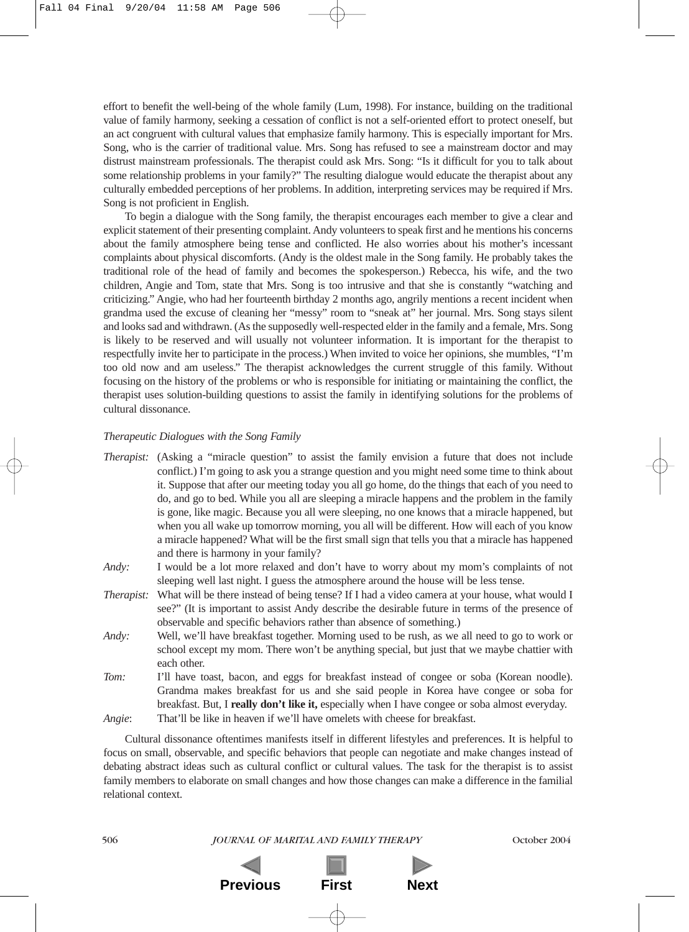effort to benefit the well-being of the whole family (Lum, 1998). For instance, building on the traditional value of family harmony, seeking a cessation of conflict is not a self-oriented effort to protect oneself, but an act congruent with cultural values that emphasize family harmony. This is especially important for Mrs. Song, who is the carrier of traditional value. Mrs. Song has refused to see a mainstream doctor and may distrust mainstream professionals. The therapist could ask Mrs. Song: "Is it difficult for you to talk about some relationship problems in your family?" The resulting dialogue would educate the therapist about any culturally embedded perceptions of her problems. In addition, interpreting services may be required if Mrs. Song is not proficient in English.

To begin a dialogue with the Song family, the therapist encourages each member to give a clear and explicit statement of their presenting complaint. Andy volunteers to speak first and he mentions his concerns about the family atmosphere being tense and conflicted. He also worries about his mother's incessant complaints about physical discomforts. (Andy is the oldest male in the Song family. He probably takes the traditional role of the head of family and becomes the spokesperson.) Rebecca, his wife, and the two children, Angie and Tom, state that Mrs. Song is too intrusive and that she is constantly "watching and criticizing." Angie, who had her fourteenth birthday 2 months ago, angrily mentions a recent incident when grandma used the excuse of cleaning her "messy" room to "sneak at" her journal. Mrs. Song stays silent and looks sad and withdrawn. (As the supposedly well-respected elder in the family and a female, Mrs. Song is likely to be reserved and will usually not volunteer information. It is important for the therapist to respectfully invite her to participate in the process.) When invited to voice her opinions, she mumbles, "I'm too old now and am useless." The therapist acknowledges the current struggle of this family. Without focusing on the history of the problems or who is responsible for initiating or maintaining the conflict, the therapist uses solution-building questions to assist the family in identifying solutions for the problems of cultural dissonance.

## *Therapeutic Dialogues with the Song Family*

*Therapist:* (Asking a "miracle question" to assist the family envision a future that does not include conflict.) I'm going to ask you a strange question and you might need some time to think about it. Suppose that after our meeting today you all go home, do the things that each of you need to do, and go to bed. While you all are sleeping a miracle happens and the problem in the family is gone, like magic. Because you all were sleeping, no one knows that a miracle happened, but when you all wake up tomorrow morning, you all will be different. How will each of you know a miracle happened? What will be the first small sign that tells you that a miracle has happened and there is harmony in your family?

*Andy:* I would be a lot more relaxed and don't have to worry about my mom's complaints of not sleeping well last night. I guess the atmosphere around the house will be less tense.

*Therapist:* What will be there instead of being tense? If I had a video camera at your house, what would I see?" (It is important to assist Andy describe the desirable future in terms of the presence of observable and specific behaviors rather than absence of something.)

- *Andy:* Well, we'll have breakfast together. Morning used to be rush, as we all need to go to work or school except my mom. There won't be anything special, but just that we maybe chattier with each other.
- *Tom:* I'll have toast, bacon, and eggs for breakfast instead of congee or soba (Korean noodle). Grandma makes breakfast for us and she said people in Korea have congee or soba for breakfast. But, I **really don't like it,** especially when I have congee or soba almost everyday.
- *Angie*: That'll be like in heaven if we'll have omelets with cheese for breakfast.

Cultural dissonance oftentimes manifests itself in different lifestyles and preferences. It is helpful to focus on small, observable, and specific behaviors that people can negotiate and make changes instead of debating abstract ideas such as cultural conflict or cultural values. The task for the therapist is to assist family members to elaborate on small changes and how those changes can make a difference in the familial relational context.



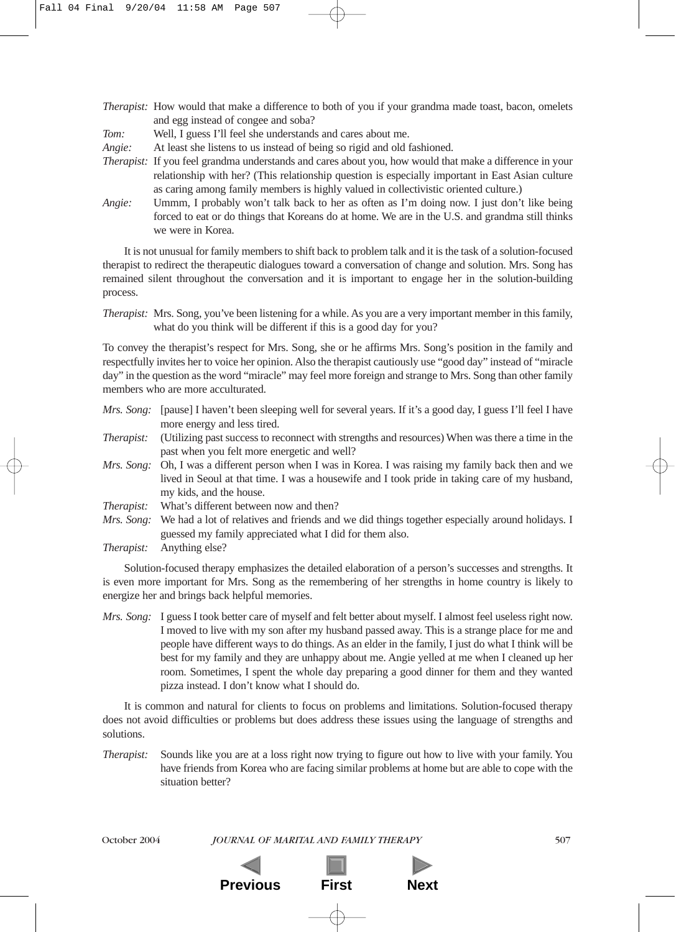- *Therapist:* How would that make a difference to both of you if your grandma made toast, bacon, omelets and egg instead of congee and soba?
- *Tom:* Well, I guess I'll feel she understands and cares about me.
- *Angie:* At least she listens to us instead of being so rigid and old fashioned.
- *Therapist:* If you feel grandma understands and cares about you, how would that make a difference in your relationship with her? (This relationship question is especially important in East Asian culture as caring among family members is highly valued in collectivistic oriented culture.)
- *Angie:* Ummm, I probably won't talk back to her as often as I'm doing now. I just don't like being forced to eat or do things that Koreans do at home. We are in the U.S. and grandma still thinks we were in Korea.

It is not unusual for family members to shift back to problem talk and it is the task of a solution-focused therapist to redirect the therapeutic dialogues toward a conversation of change and solution. Mrs. Song has remained silent throughout the conversation and it is important to engage her in the solution-building process.

*Therapist:* Mrs. Song, you've been listening for a while. As you are a very important member in this family, what do you think will be different if this is a good day for you?

To convey the therapist's respect for Mrs. Song, she or he affirms Mrs. Song's position in the family and respectfully invites her to voice her opinion. Also the therapist cautiously use "good day" instead of "miracle day" in the question as the word "miracle" may feel more foreign and strange to Mrs. Song than other family members who are more acculturated.

- *Mrs. Song:* [pause] I haven't been sleeping well for several years. If it's a good day, I guess I'll feel I have more energy and less tired. *Therapist:* (Utilizing past success to reconnect with strengths and resources) When was there a time in the past when you felt more energetic and well? *Mrs. Song:* Oh, I was a different person when I was in Korea. I was raising my family back then and we lived in Seoul at that time. I was a housewife and I took pride in taking care of my husband, my kids, and the house. *Therapist:* What's different between now and then? *Mrs. Song:* We had a lot of relatives and friends and we did things together especially around holidays. I guessed my family appreciated what I did for them also.
- *Therapist:* Anything else?

Solution-focused therapy emphasizes the detailed elaboration of a person's successes and strengths. It is even more important for Mrs. Song as the remembering of her strengths in home country is likely to energize her and brings back helpful memories.

*Mrs. Song:* I guess I took better care of myself and felt better about myself. I almost feel useless right now. I moved to live with my son after my husband passed away. This is a strange place for me and people have different ways to do things. As an elder in the family, I just do what I think will be best for my family and they are unhappy about me. Angie yelled at me when I cleaned up her room. Sometimes, I spent the whole day preparing a good dinner for them and they wanted pizza instead. I don't know what I should do.

It is common and natural for clients to focus on problems and limitations. Solution-focused therapy does not avoid difficulties or problems but does address these issues using the language of strengths and solutions.

*Therapist:* Sounds like you are at a loss right now trying to figure out how to live with your family. You have friends from Korea who are facing similar problems at home but are able to cope with the situation better?



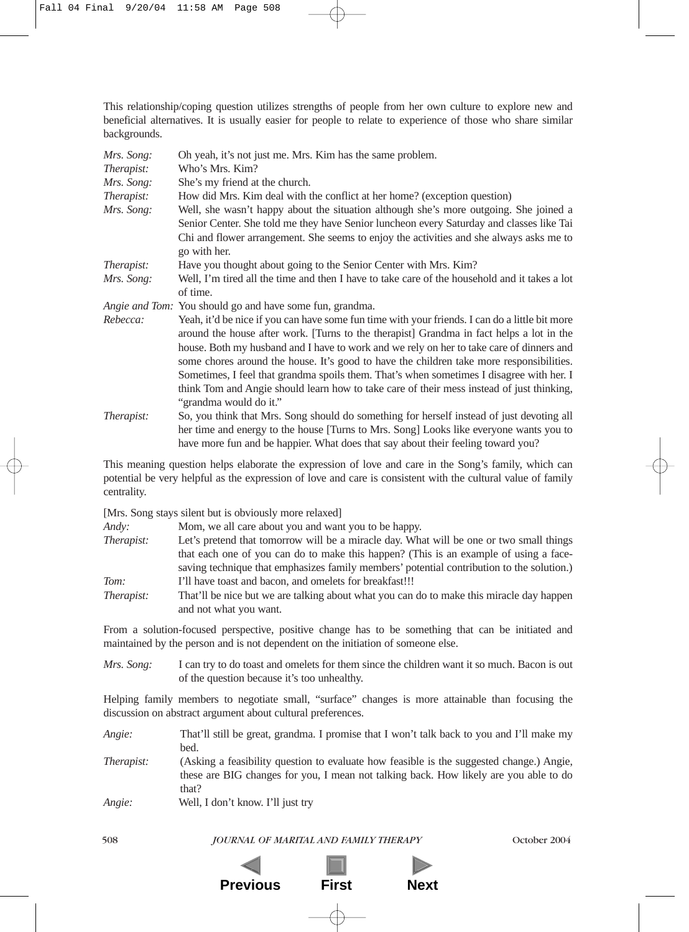This relationship/coping question utilizes strengths of people from her own culture to explore new and beneficial alternatives. It is usually easier for people to relate to experience of those who share similar backgrounds.

| Mrs. Song:<br><i>Therapist:</i> | Oh yeah, it's not just me. Mrs. Kim has the same problem.<br>Who's Mrs. Kim?                                                                                                                                                                                                                                                                                                                                                                                                                                                                                                                          |
|---------------------------------|-------------------------------------------------------------------------------------------------------------------------------------------------------------------------------------------------------------------------------------------------------------------------------------------------------------------------------------------------------------------------------------------------------------------------------------------------------------------------------------------------------------------------------------------------------------------------------------------------------|
| Mrs. Song:                      | She's my friend at the church.                                                                                                                                                                                                                                                                                                                                                                                                                                                                                                                                                                        |
| Therapist:                      | How did Mrs. Kim deal with the conflict at her home? (exception question)                                                                                                                                                                                                                                                                                                                                                                                                                                                                                                                             |
| Mrs. Song:                      | Well, she wasn't happy about the situation although she's more outgoing. She joined a<br>Senior Center. She told me they have Senior luncheon every Saturday and classes like Tai<br>Chi and flower arrangement. She seems to enjoy the activities and she always asks me to<br>go with her.                                                                                                                                                                                                                                                                                                          |
| Therapist:                      | Have you thought about going to the Senior Center with Mrs. Kim?                                                                                                                                                                                                                                                                                                                                                                                                                                                                                                                                      |
| Mrs. Song:                      | Well, I'm tired all the time and then I have to take care of the household and it takes a lot<br>of time.                                                                                                                                                                                                                                                                                                                                                                                                                                                                                             |
|                                 | <i>Angie and Tom:</i> You should go and have some fun, grandma.                                                                                                                                                                                                                                                                                                                                                                                                                                                                                                                                       |
| Rebecca:                        | Yeah, it'd be nice if you can have some fun time with your friends. I can do a little bit more<br>around the house after work. [Turns to the therapist] Grandma in fact helps a lot in the<br>house. Both my husband and I have to work and we rely on her to take care of dinners and<br>some chores around the house. It's good to have the children take more responsibilities.<br>Sometimes, I feel that grandma spoils them. That's when sometimes I disagree with her. I<br>think Tom and Angie should learn how to take care of their mess instead of just thinking,<br>"grandma would do it." |
| Therapist:                      | So, you think that Mrs. Song should do something for herself instead of just devoting all<br>her time and energy to the house [Turns to Mrs. Song] Looks like everyone wants you to                                                                                                                                                                                                                                                                                                                                                                                                                   |
|                                 | have more fun and be happier. What does that say about their feeling toward you?                                                                                                                                                                                                                                                                                                                                                                                                                                                                                                                      |

This meaning question helps elaborate the expression of love and care in the Song's family, which can potential be very helpful as the expression of love and care is consistent with the cultural value of family centrality.

[Mrs. Song stays silent but is obviously more relaxed]

| Andv:             | Mom, we all care about you and want you to be happy.                                      |
|-------------------|-------------------------------------------------------------------------------------------|
| <i>Therapist:</i> | Let's pretend that tomorrow will be a miracle day. What will be one or two small things   |
|                   | that each one of you can do to make this happen? (This is an example of using a face-     |
|                   | saving technique that emphasizes family members' potential contribution to the solution.) |
| Tom:              | I'll have toast and bacon, and omelets for breakfast!!!                                   |
| <i>Therapist:</i> | That'll be nice but we are talking about what you can do to make this miracle day happen  |
|                   | and not what you want.                                                                    |

From a solution-focused perspective, positive change has to be something that can be initiated and maintained by the person and is not dependent on the initiation of someone else.

| Mrs. Song: | I can try to do toast and omelets for them since the children want it so much. Bacon is out |
|------------|---------------------------------------------------------------------------------------------|
|            | of the question because it's too unhealthy.                                                 |

Helping family members to negotiate small, "surface" changes is more attainable than focusing the discussion on abstract argument about cultural preferences.

- *Angie:* That'll still be great, grandma. I promise that I won't talk back to you and I'll make my bed.
- *Therapist:* (Asking a feasibility question to evaluate how feasible is the suggested change.) Angie, these are BIG changes for you, I mean not talking back. How likely are you able to do that?
- *Angie:* Well, I don't know. I'll just try



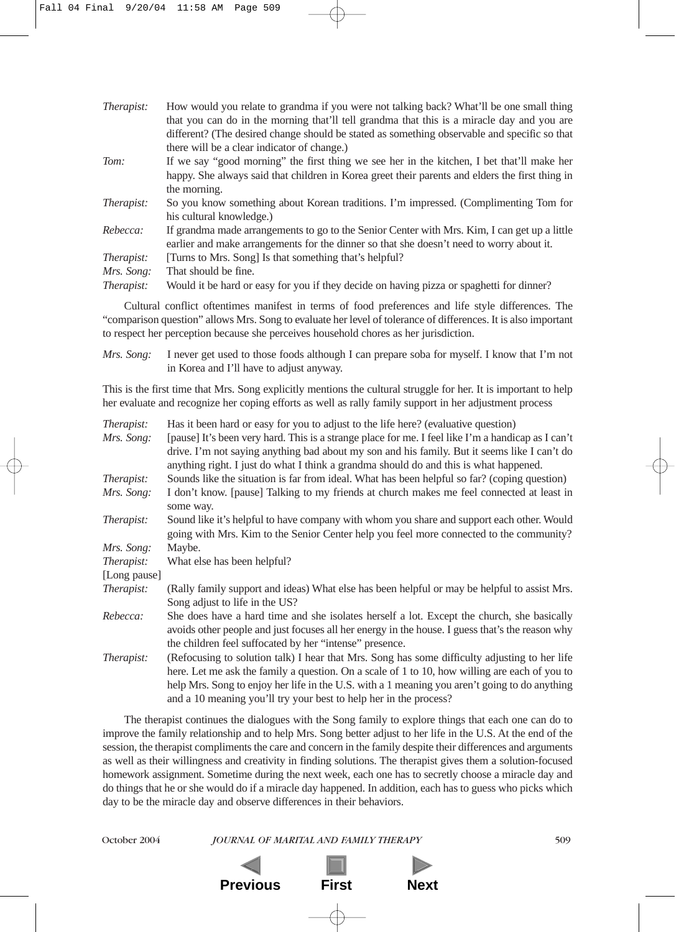| <i>Therapist:</i> | How would you relate to grandma if you were not talking back? What'll be one small thing        |
|-------------------|-------------------------------------------------------------------------------------------------|
|                   | that you can do in the morning that'll tell grandma that this is a miracle day and you are      |
|                   | different? (The desired change should be stated as something observable and specific so that    |
|                   | there will be a clear indicator of change.)                                                     |
| Tom:              | If we say "good morning" the first thing we see her in the kitchen, I bet that'll make her      |
|                   | happy. She always said that children in Korea greet their parents and elders the first thing in |
|                   | the morning.                                                                                    |
| <i>Therapist:</i> | So you know something about Korean traditions. I'm impressed. (Complimenting Tom for            |
|                   | his cultural knowledge.)                                                                        |
| Rebecca:          | If grandma made arrangements to go to the Senior Center with Mrs. Kim, I can get up a little    |
|                   | earlier and make arrangements for the dinner so that she doesn't need to worry about it.        |
| <i>Therapist:</i> | [Turns to Mrs. Song] Is that something that's helpful?                                          |
| Mrs. Song:        | That should be fine.                                                                            |
| <i>Therapist:</i> | Would it be hard or easy for you if they decide on having pizza or spaghetti for dinner?        |

Cultural conflict oftentimes manifest in terms of food preferences and life style differences. The "comparison question" allows Mrs. Song to evaluate her level of tolerance of differences. It is also important to respect her perception because she perceives household chores as her jurisdiction.

*Mrs. Song:* I never get used to those foods although I can prepare soba for myself. I know that I'm not in Korea and I'll have to adjust anyway.

This is the first time that Mrs. Song explicitly mentions the cultural struggle for her. It is important to help her evaluate and recognize her coping efforts as well as rally family support in her adjustment process

| <i>Therapist:</i> | Has it been hard or easy for you to adjust to the life here? (evaluative question)                                             |
|-------------------|--------------------------------------------------------------------------------------------------------------------------------|
| Mrs. Song:        | [pause] It's been very hard. This is a strange place for me. I feel like I'm a handicap as I can't                             |
|                   | drive. I'm not saying anything bad about my son and his family. But it seems like I can't do                                   |
|                   | anything right. I just do what I think a grandma should do and this is what happened.                                          |
| <i>Therapist:</i> | Sounds like the situation is far from ideal. What has been helpful so far? (coping question)                                   |
| Mrs. Song:        | I don't know. [pause] Talking to my friends at church makes me feel connected at least in<br>some way.                         |
| <i>Therapist:</i> | Sound like it's helpful to have company with whom you share and support each other. Would                                      |
|                   | going with Mrs. Kim to the Senior Center help you feel more connected to the community?                                        |
| Mrs. Song:        | Maybe.                                                                                                                         |
| Therapist:        | What else has been helpful?                                                                                                    |
| [Long pause]      |                                                                                                                                |
| <i>Therapist:</i> | (Rally family support and ideas) What else has been helpful or may be helpful to assist Mrs.<br>Song adjust to life in the US? |
| Rebecca:          | She does have a hard time and she isolates herself a lot. Except the church, she basically                                     |
|                   | avoids other people and just focuses all her energy in the house. I guess that's the reason why                                |
|                   | the children feel suffocated by her "intense" presence.                                                                        |
| Therapist:        | (Refocusing to solution talk) I hear that Mrs. Song has some difficulty adjusting to her life                                  |
|                   | here. Let me ask the family a question. On a scale of 1 to 10, how willing are each of you to                                  |
|                   | help Mrs. Song to enjoy her life in the U.S. with a 1 meaning you aren't going to do anything                                  |
|                   | and a 10 meaning you'll try your best to help her in the process?                                                              |
|                   |                                                                                                                                |

The therapist continues the dialogues with the Song family to explore things that each one can do to improve the family relationship and to help Mrs. Song better adjust to her life in the U.S. At the end of the session, the therapist compliments the care and concern in the family despite their differences and arguments as well as their willingness and creativity in finding solutions. The therapist gives them a solution-focused homework assignment. Sometime during the next week, each one has to secretly choose a miracle day and do things that he or she would do if a miracle day happened. In addition, each has to guess who picks which day to be the miracle day and observe differences in their behaviors.



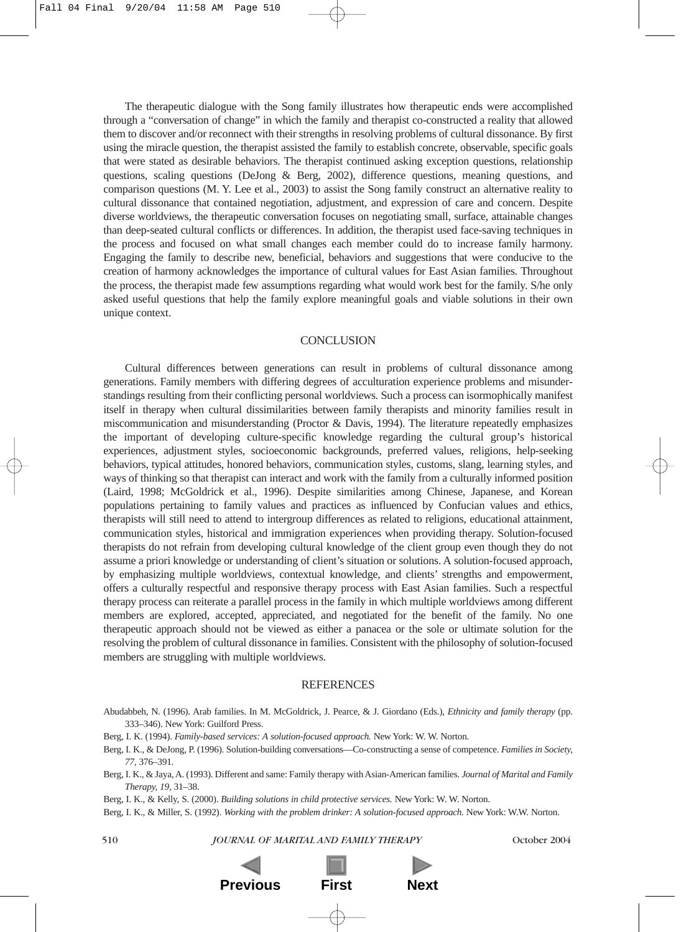The therapeutic dialogue with the Song family illustrates how therapeutic ends were accomplished through a "conversation of change" in which the family and therapist co-constructed a reality that allowed them to discover and/or reconnect with their strengths in resolving problems of cultural dissonance. By first using the miracle question, the therapist assisted the family to establish concrete, observable, specific goals that were stated as desirable behaviors. The therapist continued asking exception questions, relationship questions, scaling questions (DeJong  $\&$  Berg, 2002), difference questions, meaning questions, and comparison questions (M. Y. Lee et al., 2003) to assist the Song family construct an alternative reality to cultural dissonance that contained negotiation, adjustment, and expression of care and concern. Despite diverse worldviews, the therapeutic conversation focuses on negotiating small, surface, attainable changes than deep-seated cultural conflicts or differences. In addition, the therapist used face-saving techniques in the process and focused on what small changes each member could do to increase family harmony. Engaging the family to describe new, beneficial, behaviors and suggestions that were conducive to the creation of harmony acknowledges the importance of cultural values for East Asian families. Throughout the process, the therapist made few assumptions regarding what would work best for the family. S/he only asked useful questions that help the family explore meaningful goals and viable solutions in their own unique context.

# **CONCLUSION**

Cultural differences between generations can result in problems of cultural dissonance among generations. Family members with differing degrees of acculturation experience problems and misunderstandings resulting from their conflicting personal worldviews. Such a process can isormophically manifest itself in therapy when cultural dissimilarities between family therapists and minority families result in miscommunication and misunderstanding (Proctor & Davis, 1994). The literature repeatedly emphasizes the important of developing culture-specific knowledge regarding the cultural group's historical experiences, adjustment styles, socioeconomic backgrounds, preferred values, religions, help-seeking behaviors, typical attitudes, honored behaviors, communication styles, customs, slang, learning styles, and ways of thinking so that therapist can interact and work with the family from a culturally informed position (Laird, 1998; McGoldrick et al., 1996). Despite similarities among Chinese, Japanese, and Korean populations pertaining to family values and practices as influenced by Confucian values and ethics, therapists will still need to attend to intergroup differences as related to religions, educational attainment, communication styles, historical and immigration experiences when providing therapy. Solution-focused therapists do not refrain from developing cultural knowledge of the client group even though they do not assume a priori knowledge or understanding of client's situation or solutions. A solution-focused approach, by emphasizing multiple worldviews, contextual knowledge, and clients' strengths and empowerment, offers a culturally respectful and responsive therapy process with East Asian families. Such a respectful therapy process can reiterate a parallel process in the family in which multiple worldviews among different members are explored, accepted, appreciated, and negotiated for the benefit of the family. No one therapeutic approach should not be viewed as either a panacea or the sole or ultimate solution for the resolving the problem of cultural dissonance in families. Consistent with the philosophy of solution-focused members are struggling with multiple worldviews.

## **REFERENCES**

- Abudabbeh, N. (1996). Arab families. In M. McGoldrick, J. Pearce, & J. Giordano (Eds.), *Ethnicity and family therapy* (pp. 333–346). New York: Guilford Press.
- Berg, I. K. (1994). *Family-based services: A solution-focused approach.* New York: W. W. Norton.
- Berg, I. K., & DeJong, P. (1996). Solution-building conversations—Co-constructing a sense of competence. *Families in Society, 77,* 376–391.
- Berg, I. K., & Jaya, A. (1993). Different and same: Family therapy with Asian-American families. *Journal of Marital and Family Therapy, 19,* 31–38.
- Berg, I. K., & Kelly, S. (2000). *Building solutions in child protective services.* New York: W. W. Norton.
- Berg, I. K., & Miller, S. (1992). *Working with the problem drinker: A solution-focused approach.* New York: W.W. Norton.

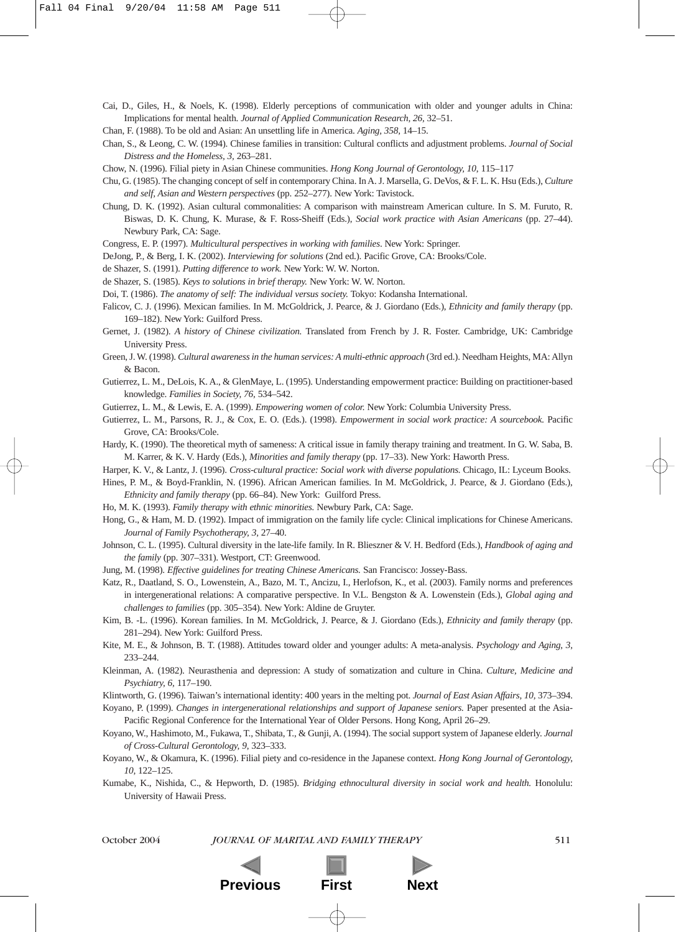- Cai, D., Giles, H., & Noels, K. (1998). Elderly perceptions of communication with older and younger adults in China: Implications for mental health. *Journal of Applied Communication Research, 26,* 32–51.
- Chan, F. (1988). To be old and Asian: An unsettling life in America. *Aging, 358,* 14–15.
- Chan, S., & Leong, C. W. (1994). Chinese families in transition: Cultural conflicts and adjustment problems. *Journal of Social Distress and the Homeless, 3,* 263–281.
- Chow, N. (1996). Filial piety in Asian Chinese communities. *Hong Kong Journal of Gerontology, 10*, 115–117
- Chu, G. (1985). The changing concept of self in contemporary China. In A. J. Marsella, G. DeVos, & F. L. K. Hsu (Eds.), *Culture and self, Asian and Western perspectives* (pp. 252–277). New York: Tavistock.
- Chung, D. K. (1992). Asian cultural commonalities: A comparison with mainstream American culture. In S. M. Furuto, R. Biswas, D. K. Chung, K. Murase, & F. Ross-Sheiff (Eds.), *Social work practice with Asian Americans* (pp. 27–44). Newbury Park, CA: Sage.
- Congress, E. P. (1997). *Multicultural perspectives in working with families*. New York: Springer.
- DeJong, P., & Berg, I. K. (2002). *Interviewing for solutions* (2nd ed.). Pacific Grove, CA: Brooks/Cole.
- de Shazer, S. (1991). *Putting difference to work.* New York: W. W. Norton.
- de Shazer, S. (1985). *Keys to solutions in brief therapy.* New York: W. W. Norton.
- Doi, T. (1986). *The anatomy of self: The individual versus society.* Tokyo: Kodansha International.
- Falicov, C. J. (1996). Mexican families. In M. McGoldrick, J. Pearce, & J. Giordano (Eds.), *Ethnicity and family therapy* (pp. 169–182). New York: Guilford Press.
- Gernet, J. (1982). *A history of Chinese civilization.* Translated from French by J. R. Foster. Cambridge, UK: Cambridge University Press.
- Green, J. W. (1998). *Cultural awareness in the human services: A multi-ethnic approach* (3rd ed.). Needham Heights, MA: Allyn & Bacon.
- Gutierrez, L. M., DeLois, K. A., & GlenMaye, L. (1995). Understanding empowerment practice: Building on practitioner-based knowledge. *Families in Society, 76,* 534–542.
- Gutierrez, L. M., & Lewis, E. A. (1999). *Empowering women of color.* New York: Columbia University Press.
- Gutierrez, L. M., Parsons, R. J., & Cox, E. O. (Eds.). (1998). *Empowerment in social work practice: A sourcebook.* Pacific Grove, CA: Brooks/Cole.
- Hardy, K. (1990). The theoretical myth of sameness: A critical issue in family therapy training and treatment. In G. W. Saba, B. M. Karrer, & K. V. Hardy (Eds.), *Minorities and family therapy* (pp. 17–33). New York: Haworth Press.
- Harper, K. V., & Lantz, J. (1996). *Cross-cultural practice: Social work with diverse populations.* Chicago, IL: Lyceum Books.
- Hines, P. M., & Boyd-Franklin, N. (1996). African American families. In M. McGoldrick, J. Pearce, & J. Giordano (Eds.), *Ethnicity and family therapy* (pp. 66–84). New York: Guilford Press.
- Ho, M. K. (1993). *Family therapy with ethnic minorities.* Newbury Park, CA: Sage.
- Hong, G., & Ham, M. D. (1992). Impact of immigration on the family life cycle: Clinical implications for Chinese Americans. *Journal of Family Psychotherapy, 3,* 27–40.
- Johnson, C. L. (1995). Cultural diversity in the late-life family. In R. Blieszner & V. H. Bedford (Eds.), *Handbook of aging and the family* (pp. 307–331). Westport, CT: Greenwood.
- Jung, M. (1998). *Effective guidelines for treating Chinese Americans.* San Francisco: Jossey-Bass.
- Katz, R., Daatland, S. O., Lowenstein, A., Bazo, M. T., Ancizu, I., Herlofson, K., et al. (2003). Family norms and preferences in intergenerational relations: A comparative perspective. In V.L. Bengston & A. Lowenstein (Eds.), *Global aging and challenges to families* (pp. 305–354). New York: Aldine de Gruyter.
- Kim, B. -L. (1996). Korean families. In M. McGoldrick, J. Pearce, & J. Giordano (Eds.), *Ethnicity and family therapy* (pp. 281–294). New York: Guilford Press.
- Kite, M. E., & Johnson, B. T. (1988). Attitudes toward older and younger adults: A meta-analysis. *Psychology and Aging, 3,* 233–244.
- Kleinman, A. (1982). Neurasthenia and depression: A study of somatization and culture in China. *Culture, Medicine and Psychiatry, 6,* 117–190.
- Klintworth, G. (1996). Taiwan's international identity: 400 years in the melting pot. *Journal of East Asian Affairs, 10,* 373–394.
- Koyano, P. (1999). *Changes in intergenerational relationships and support of Japanese seniors.* Paper presented at the Asia-Pacific Regional Conference for the International Year of Older Persons. Hong Kong, April 26–29.
- Koyano, W., Hashimoto, M., Fukawa, T., Shibata, T., & Gunji, A. (1994). The social support system of Japanese elderly. *Journal of Cross-Cultural Gerontology, 9*, 323–333.
- Koyano, W., & Okamura, K. (1996). Filial piety and co-residence in the Japanese context. *Hong Kong Journal of Gerontology, 10,* 122–125.
- Kumabe, K., Nishida, C., & Hepworth, D. (1985). *Bridging ethnocultural diversity in social work and health.* Honolulu: University of Hawaii Press.



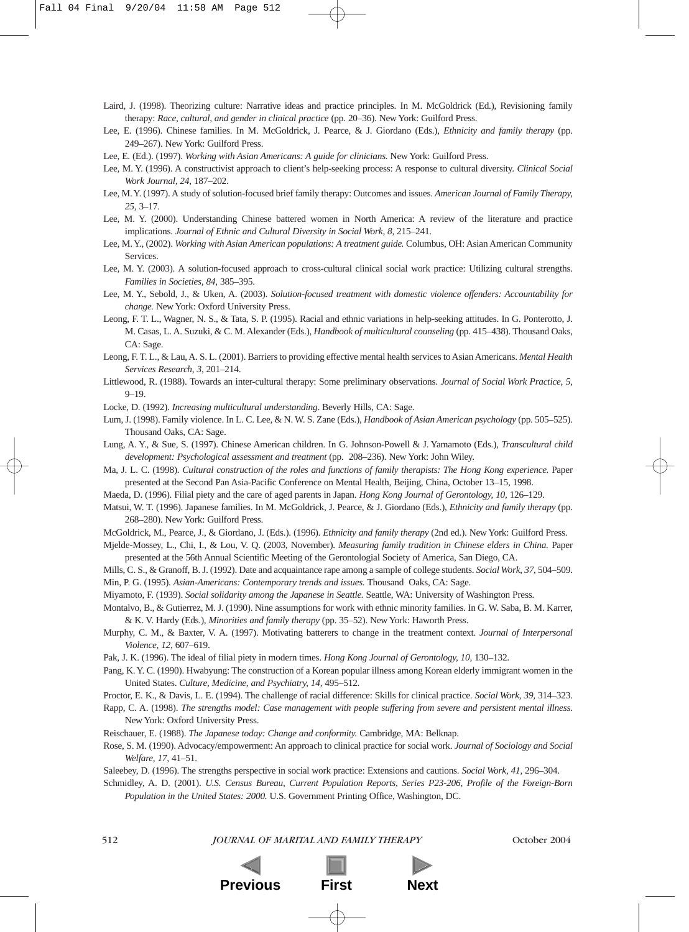- Laird, J. (1998). Theorizing culture: Narrative ideas and practice principles. In M. McGoldrick (Ed.), Revisioning family therapy: *Race, cultural, and gender in clinical practice* (pp. 20–36). New York: Guilford Press.
- Lee, E. (1996). Chinese families. In M. McGoldrick, J. Pearce, & J. Giordano (Eds.), *Ethnicity and family therapy* (pp. 249–267). New York: Guilford Press.
- Lee, E. (Ed.). (1997). *Working with Asian Americans: A guide for clinicians.* New York: Guilford Press.
- Lee, M. Y. (1996). A constructivist approach to client's help-seeking process: A response to cultural diversity. *Clinical Social Work Journal, 24,* 187–202.
- Lee, M. Y. (1997). A study of solution-focused brief family therapy: Outcomes and issues. *American Journal of Family Therapy, 25,* 3–17.
- Lee, M. Y. (2000). Understanding Chinese battered women in North America: A review of the literature and practice implications. *Journal of Ethnic and Cultural Diversity in Social Work, 8,* 215–241.
- Lee, M. Y., (2002). *Working with Asian American populations: A treatment guide.* Columbus, OH: Asian American Community Services.
- Lee, M. Y. (2003). A solution-focused approach to cross-cultural clinical social work practice: Utilizing cultural strengths. *Families in Societies, 84,* 385–395.
- Lee, M. Y., Sebold, J., & Uken, A. (2003). *Solution-focused treatment with domestic violence offenders: Accountability for change.* New York: Oxford University Press.
- Leong, F. T. L., Wagner, N. S., & Tata, S. P. (1995). Racial and ethnic variations in help-seeking attitudes. In G. Ponterotto, J. M. Casas, L. A. Suzuki, & C. M. Alexander (Eds.), *Handbook of multicultural counseling* (pp. 415–438). Thousand Oaks, CA: Sage.
- Leong, F. T. L., & Lau, A. S. L. (2001). Barriers to providing effective mental health services to Asian Americans. *Mental Health Services Research, 3,* 201–214.
- Littlewood, R. (1988). Towards an inter-cultural therapy: Some preliminary observations. *Journal of Social Work Practice, 5,* 9–19.

Locke, D. (1992). *Increasing multicultural understanding*. Beverly Hills, CA: Sage.

- Lum, J. (1998). Family violence. In L. C. Lee, & N. W. S. Zane (Eds.), *Handbook of Asian American psychology* (pp. 505–525). Thousand Oaks, CA: Sage.
- Lung, A. Y., & Sue, S. (1997). Chinese American children. In G. Johnson-Powell & J. Yamamoto (Eds.), *Transcultural child development: Psychological assessment and treatment* (pp. 208–236). New York: John Wiley.
- Ma, J. L. C. (1998). *Cultural construction of the roles and functions of family therapists: The Hong Kong experience.* Paper presented at the Second Pan Asia-Pacific Conference on Mental Health, Beijing, China, October 13–15, 1998.
- Maeda, D. (1996). Filial piety and the care of aged parents in Japan. *Hong Kong Journal of Gerontology, 10,* 126–129.
- Matsui, W. T. (1996). Japanese families. In M. McGoldrick, J. Pearce, & J. Giordano (Eds.), *Ethnicity and family therapy* (pp. 268–280). New York: Guilford Press.

McGoldrick, M., Pearce, J., & Giordano, J. (Eds.). (1996). *Ethnicity and family therapy* (2nd ed.). New York: Guilford Press.

- Mjelde-Mossey, L., Chi, I., & Lou, V. Q. (2003, November). *Measuring family tradition in Chinese elders in China.* Paper presented at the 56th Annual Scientific Meeting of the Gerontologial Society of America, San Diego, CA.
- Mills, C. S., & Granoff, B. J. (1992). Date and acquaintance rape among a sample of college students. *Social Work, 37,* 504–509. Min, P. G. (1995). *Asian-Americans: Contemporary trends and issues.* Thousand Oaks, CA: Sage.
- Miyamoto, F. (1939). *Social solidarity among the Japanese in Seattle.* Seattle, WA: University of Washington Press.
- Montalvo, B., & Gutierrez, M. J. (1990). Nine assumptions for work with ethnic minority families. In G. W. Saba, B. M. Karrer, & K. V. Hardy (Eds.), *Minorities and family therapy* (pp. 35–52). New York: Haworth Press.
- Murphy, C. M., & Baxter, V. A. (1997). Motivating batterers to change in the treatment context. *Journal of Interpersonal Violence, 12,* 607–619.
- Pak, J. K. (1996). The ideal of filial piety in modern times. *Hong Kong Journal of Gerontology, 10,* 130–132.
- Pang, K. Y. C. (1990). Hwabyung: The construction of a Korean popular illness among Korean elderly immigrant women in the United States. *Culture, Medicine, and Psychiatry, 14,* 495–512.
- Proctor, E. K., & Davis, L. E. (1994). The challenge of racial difference: Skills for clinical practice. *Social Work, 39,* 314–323.
- Rapp, C. A. (1998). *The strengths model: Case management with people suffering from severe and persistent mental illness.* New York: Oxford University Press.
- Reischauer, E. (1988). *The Japanese today: Change and conformity.* Cambridge, MA: Belknap.
- Rose, S. M. (1990). Advocacy/empowerment: An approach to clinical practice for social work. *Journal of Sociology and Social Welfare, 17,* 41–51.
- Saleebey, D. (1996). The strengths perspective in social work practice: Extensions and cautions. *Social Work, 41,* 296–304.
- Schmidley, A. D. (2001). *U.S. Census Bureau, Current Population Reports, Series P23-206, Profile of the Foreign-Born Population in the United States: 2000.* U.S. Government Printing Office, Washington, DC.